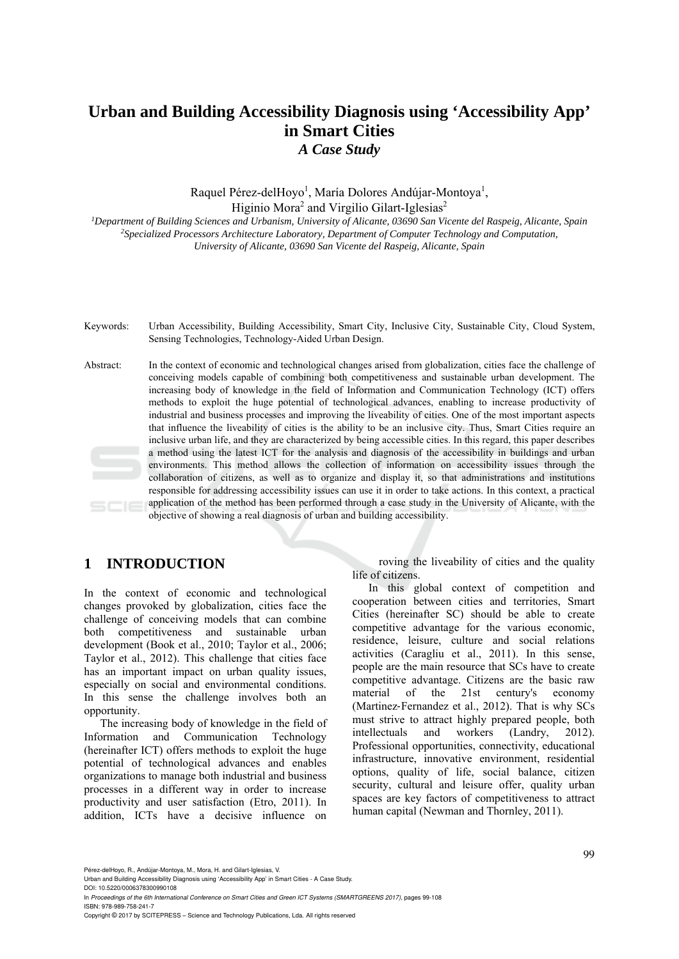# **Urban and Building Accessibility Diagnosis using 'Accessibility App' in Smart Cities**  *A Case Study*

Raquel Pérez-delHoyo<sup>1</sup>, María Dolores Andújar-Montoya<sup>1</sup>, Higinio Mora<sup>2</sup> and Virgilio Gilart-Iglesias<sup>2</sup>

<sup>1</sup>Department of Building Sciences and Urbanism, University of Alicante, 03690 San Vicente del Raspeig, Alicante, Spain<br><sup>2</sup>Specialized Processors Architecture Laboratory, Department of Computer Technology and Computation, *University of Alicante, 03690 San Vicente del Raspeig, Alicante, Spain* 

- Keywords: Urban Accessibility, Building Accessibility, Smart City, Inclusive City, Sustainable City, Cloud System, Sensing Technologies, Technology-Aided Urban Design.
- Abstract: In the context of economic and technological changes arised from globalization, cities face the challenge of conceiving models capable of combining both competitiveness and sustainable urban development. The increasing body of knowledge in the field of Information and Communication Technology (ICT) offers methods to exploit the huge potential of technological advances, enabling to increase productivity of industrial and business processes and improving the liveability of cities. One of the most important aspects that influence the liveability of cities is the ability to be an inclusive city. Thus, Smart Cities require an inclusive urban life, and they are characterized by being accessible cities. In this regard, this paper describes a method using the latest ICT for the analysis and diagnosis of the accessibility in buildings and urban environments. This method allows the collection of information on accessibility issues through the collaboration of citizens, as well as to organize and display it, so that administrations and institutions responsible for addressing accessibility issues can use it in order to take actions. In this context, a practical application of the method has been performed through a case study in the University of Alicante, with the  $SCIE$ objective of showing a real diagnosis of urban and building accessibility.

# **1 INTRODUCTION**

In the context of economic and technological changes provoked by globalization, cities face the challenge of conceiving models that can combine both competitiveness and sustainable urban development (Book et al., 2010; Taylor et al., 2006; Taylor et al., 2012). This challenge that cities face has an important impact on urban quality issues. especially on social and environmental conditions. In this sense the challenge involves both an opportunity.

The increasing body of knowledge in the field of Information and Communication Technology (hereinafter ICT) offers methods to exploit the huge potential of technological advances and enables organizations to manage both industrial and business processes in a different way in order to increase productivity and user satisfaction (Etro, 2011). In addition, ICTs have a decisive influence on

 roving the liveability of cities and the quality life of citizens.

In this global context of competition and cooperation between cities and territories, Smart Cities (hereinafter SC) should be able to create competitive advantage for the various economic, residence, leisure, culture and social relations activities (Caragliu et al., 2011). In this sense, people are the main resource that SCs have to create competitive advantage. Citizens are the basic raw material of the 21st century's economy (Martinez‐Fernandez et al., 2012). That is why SCs must strive to attract highly prepared people, both<br>intellectuals and workers (Landry, 2012). intellectuals and workers (Landry, 2012). Professional opportunities, connectivity, educational infrastructure, innovative environment, residential options, quality of life, social balance, citizen security, cultural and leisure offer, quality urban spaces are key factors of competitiveness to attract human capital (Newman and Thornley, 2011).

Pérez-delHoyo, R., Andújar-Montoya, M., Mora, H. and Gilart-Iglesias, V.

Urban and Building Accessibility Diagnosis using 'Accessibility App' in Smart Cities - A Case Study. DOI: 10.5220/0006378300990108

In *Proceedings of the 6th International Conference on Smart Cities and Green ICT Systems (SMARTGREENS 2017)*, pages 99-108 ISBN: 978-989-758-241-7

Copyright © 2017 by SCITEPRESS – Science and Technology Publications, Lda. All rights reserved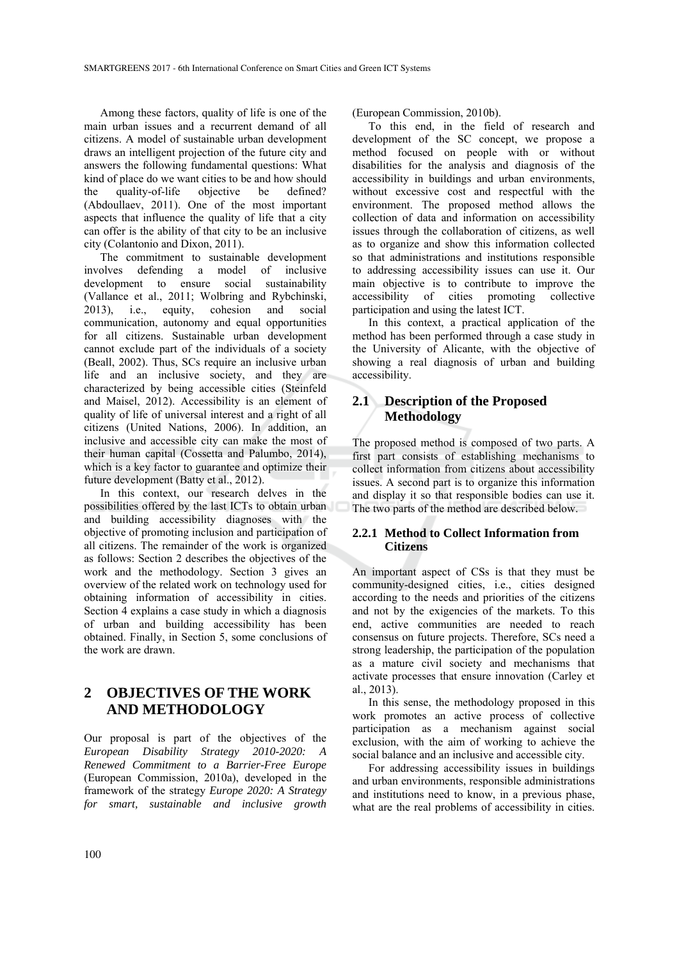Among these factors, quality of life is one of the main urban issues and a recurrent demand of all citizens. A model of sustainable urban development draws an intelligent projection of the future city and answers the following fundamental questions: What kind of place do we want cities to be and how should the quality-of-life objective be defined? (Abdoullaev, 2011). One of the most important aspects that influence the quality of life that a city can offer is the ability of that city to be an inclusive city (Colantonio and Dixon, 2011).

The commitment to sustainable development involves defending a model of inclusive development to ensure social sustainability (Vallance et al., 2011; Wolbring and Rybchinski, 2013), i.e., equity, cohesion and social communication, autonomy and equal opportunities for all citizens. Sustainable urban development cannot exclude part of the individuals of a society (Beall, 2002). Thus, SCs require an inclusive urban life and an inclusive society, and they are characterized by being accessible cities (Steinfeld and Maisel, 2012). Accessibility is an element of quality of life of universal interest and a right of all citizens (United Nations, 2006). In addition, an inclusive and accessible city can make the most of their human capital (Cossetta and Palumbo, 2014), which is a key factor to guarantee and optimize their future development (Batty et al., 2012).

In this context, our research delves in the possibilities offered by the last ICTs to obtain urban and building accessibility diagnoses with the objective of promoting inclusion and participation of all citizens. The remainder of the work is organized as follows: Section 2 describes the objectives of the work and the methodology. Section 3 gives an overview of the related work on technology used for obtaining information of accessibility in cities. Section 4 explains a case study in which a diagnosis of urban and building accessibility has been obtained. Finally, in Section 5, some conclusions of the work are drawn.

# **2 OBJECTIVES OF THE WORK AND METHODOLOGY**

Our proposal is part of the objectives of the *European Disability Strategy 2010-2020: A Renewed Commitment to a Barrier-Free Europe* (European Commission, 2010a), developed in the framework of the strategy *Europe 2020: A Strategy for smart, sustainable and inclusive growth*

(European Commission, 2010b).

To this end, in the field of research and development of the SC concept, we propose a method focused on people with or without disabilities for the analysis and diagnosis of the accessibility in buildings and urban environments, without excessive cost and respectful with the environment. The proposed method allows the collection of data and information on accessibility issues through the collaboration of citizens, as well as to organize and show this information collected so that administrations and institutions responsible to addressing accessibility issues can use it. Our main objective is to contribute to improve the accessibility of cities promoting collective participation and using the latest ICT.

In this context, a practical application of the method has been performed through a case study in the University of Alicante, with the objective of showing a real diagnosis of urban and building accessibility.

## **2.1 Description of the Proposed Methodology**

The proposed method is composed of two parts. A first part consists of establishing mechanisms to collect information from citizens about accessibility issues. A second part is to organize this information and display it so that responsible bodies can use it. The two parts of the method are described below.

#### **2.2.1 Method to Collect Information from Citizens**

An important aspect of CSs is that they must be community-designed cities, i.e., cities designed according to the needs and priorities of the citizens and not by the exigencies of the markets. To this end, active communities are needed to reach consensus on future projects. Therefore, SCs need a strong leadership, the participation of the population as a mature civil society and mechanisms that activate processes that ensure innovation (Carley et al., 2013).

In this sense, the methodology proposed in this work promotes an active process of collective participation as a mechanism against social exclusion, with the aim of working to achieve the social balance and an inclusive and accessible city.

For addressing accessibility issues in buildings and urban environments, responsible administrations and institutions need to know, in a previous phase, what are the real problems of accessibility in cities.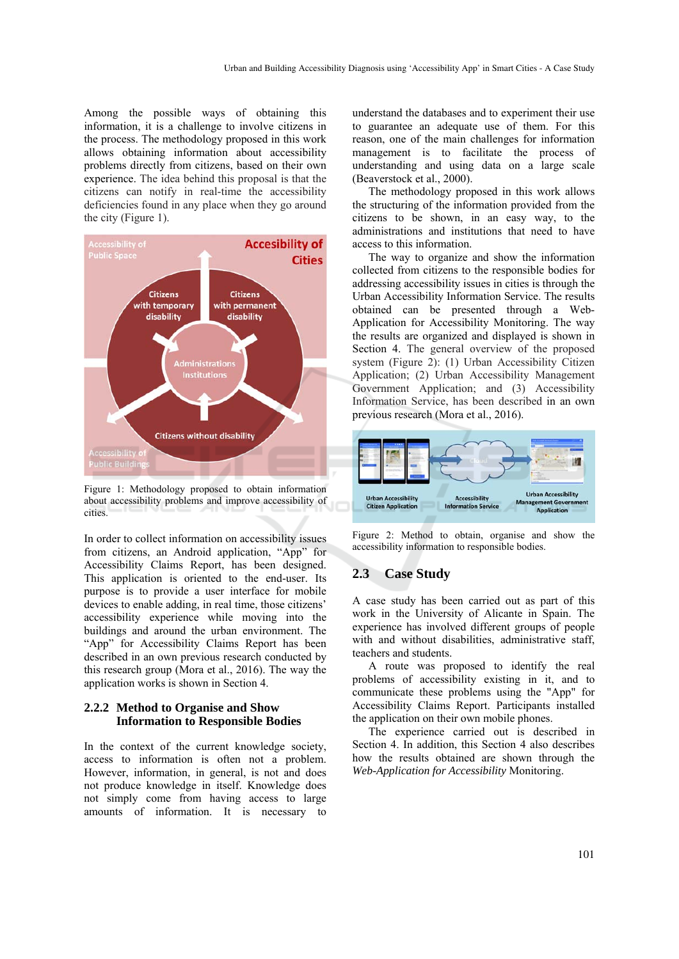Among the possible ways of obtaining this information, it is a challenge to involve citizens in the process. The methodology proposed in this work allows obtaining information about accessibility problems directly from citizens, based on their own experience. The idea behind this proposal is that the citizens can notify in real-time the accessibility deficiencies found in any place when they go around the city (Figure 1).



Figure 1: Methodology proposed to obtain information about accessibility problems and improve accessibility of cities.

In order to collect information on accessibility issues from citizens, an Android application, "App" for Accessibility Claims Report, has been designed. This application is oriented to the end-user. Its purpose is to provide a user interface for mobile devices to enable adding, in real time, those citizens' accessibility experience while moving into the buildings and around the urban environment. The "App" for Accessibility Claims Report has been described in an own previous research conducted by this research group (Mora et al., 2016). The way the application works is shown in Section 4.

#### **2.2.2 Method to Organise and Show Information to Responsible Bodies**

In the context of the current knowledge society, access to information is often not a problem. However, information, in general, is not and does not produce knowledge in itself. Knowledge does not simply come from having access to large amounts of information. It is necessary to

understand the databases and to experiment their use to guarantee an adequate use of them. For this reason, one of the main challenges for information management is to facilitate the process of understanding and using data on a large scale (Beaverstock et al., 2000).

The methodology proposed in this work allows the structuring of the information provided from the citizens to be shown, in an easy way, to the administrations and institutions that need to have access to this information.

The way to organize and show the information collected from citizens to the responsible bodies for addressing accessibility issues in cities is through the Urban Accessibility Information Service. The results obtained can be presented through a Web-Application for Accessibility Monitoring. The way the results are organized and displayed is shown in Section 4. The general overview of the proposed system (Figure 2): (1) Urban Accessibility Citizen Application; (2) Urban Accessibility Management Government Application; and (3) Accessibility Information Service, has been described in an own previous research (Mora et al., 2016).



Figure 2: Method to obtain, organise and show the accessibility information to responsible bodies.

## **2.3 Case Study**

A case study has been carried out as part of this work in the University of Alicante in Spain. The experience has involved different groups of people with and without disabilities, administrative staff, teachers and students.

A route was proposed to identify the real problems of accessibility existing in it, and to communicate these problems using the "App" for Accessibility Claims Report. Participants installed the application on their own mobile phones.

The experience carried out is described in Section 4. In addition, this Section 4 also describes how the results obtained are shown through the *Web-Application for Accessibility* Monitoring.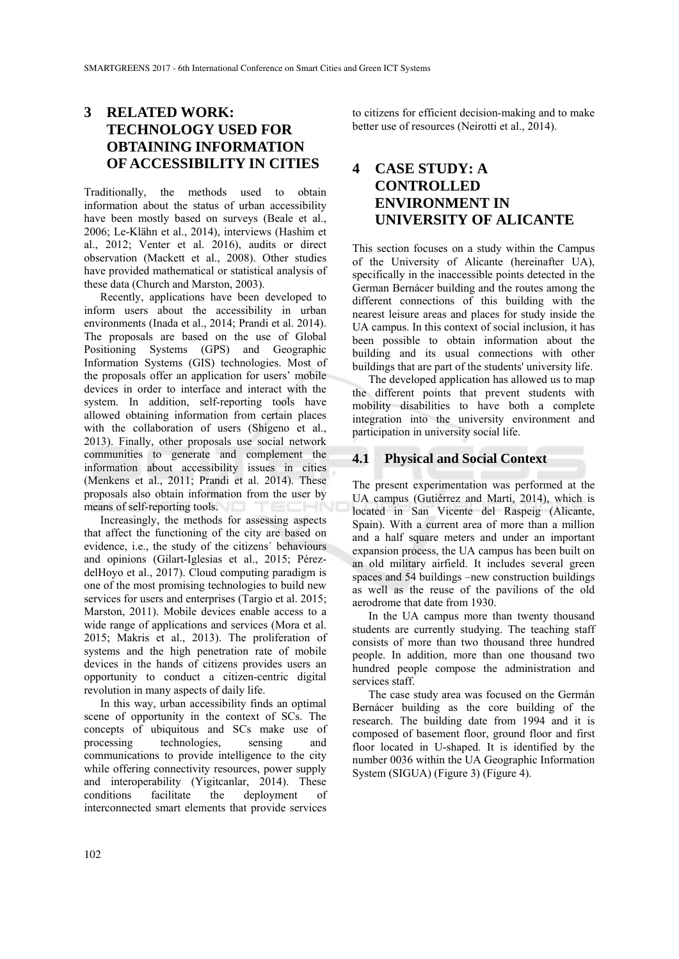# **3 RELATED WORK: TECHNOLOGY USED FOR OBTAINING INFORMATION OF ACCESSIBILITY IN CITIES**

Traditionally, the methods used to obtain information about the status of urban accessibility have been mostly based on surveys (Beale et al., 2006; Le-Klähn et al., 2014), interviews (Hashim et al., 2012; Venter et al. 2016), audits or direct observation (Mackett et al., 2008). Other studies have provided mathematical or statistical analysis of these data (Church and Marston, 2003).

Recently, applications have been developed to inform users about the accessibility in urban environments (Inada et al., 2014; Prandi et al. 2014). The proposals are based on the use of Global Positioning Systems (GPS) and Geographic Information Systems (GIS) technologies. Most of the proposals offer an application for users' mobile devices in order to interface and interact with the system. In addition, self-reporting tools have allowed obtaining information from certain places with the collaboration of users (Shigeno et al., 2013). Finally, other proposals use social network communities to generate and complement the information about accessibility issues in cities (Menkens et al., 2011; Prandi et al. 2014). These proposals also obtain information from the user by means of self-reporting tools. TECHN

Increasingly, the methods for assessing aspects that affect the functioning of the city are based on evidence, i.e., the study of the citizens´ behaviours and opinions (Gilart-Iglesias et al., 2015; PérezdelHoyo et al., 2017). Cloud computing paradigm is one of the most promising technologies to build new services for users and enterprises (Targio et al. 2015; Marston, 2011). Mobile devices enable access to a wide range of applications and services (Mora et al. 2015; Makris et al., 2013). The proliferation of systems and the high penetration rate of mobile devices in the hands of citizens provides users an opportunity to conduct a citizen-centric digital revolution in many aspects of daily life.

In this way, urban accessibility finds an optimal scene of opportunity in the context of SCs. The concepts of ubiquitous and SCs make use of processing technologies, sensing and communications to provide intelligence to the city while offering connectivity resources, power supply and interoperability (Yigitcanlar, 2014). These conditions facilitate the deployment of interconnected smart elements that provide services

to citizens for efficient decision-making and to make better use of resources (Neirotti et al., 2014).

# **4 CASE STUDY: A CONTROLLED ENVIRONMENT IN UNIVERSITY OF ALICANTE**

This section focuses on a study within the Campus of the University of Alicante (hereinafter UA), specifically in the inaccessible points detected in the German Bernácer building and the routes among the different connections of this building with the nearest leisure areas and places for study inside the UA campus. In this context of social inclusion, it has been possible to obtain information about the building and its usual connections with other buildings that are part of the students' university life.

The developed application has allowed us to map the different points that prevent students with mobility disabilities to have both a complete integration into the university environment and participation in university social life.

#### **4.1 Physical and Social Context**

The present experimentation was performed at the UA campus (Gutiérrez and Martí, 2014), which is located in San Vicente del Raspeig (Alicante, Spain). With a current area of more than a million and a half square meters and under an important expansion process, the UA campus has been built on an old military airfield. It includes several green spaces and 54 buildings –new construction buildings as well as the reuse of the pavilions of the old aerodrome that date from 1930.

In the UA campus more than twenty thousand students are currently studying. The teaching staff consists of more than two thousand three hundred people. In addition, more than one thousand two hundred people compose the administration and services staff.

The case study area was focused on the Germán Bernácer building as the core building of the research. The building date from 1994 and it is composed of basement floor, ground floor and first floor located in U-shaped. It is identified by the number 0036 within the UA Geographic Information System (SIGUA) (Figure 3) (Figure 4).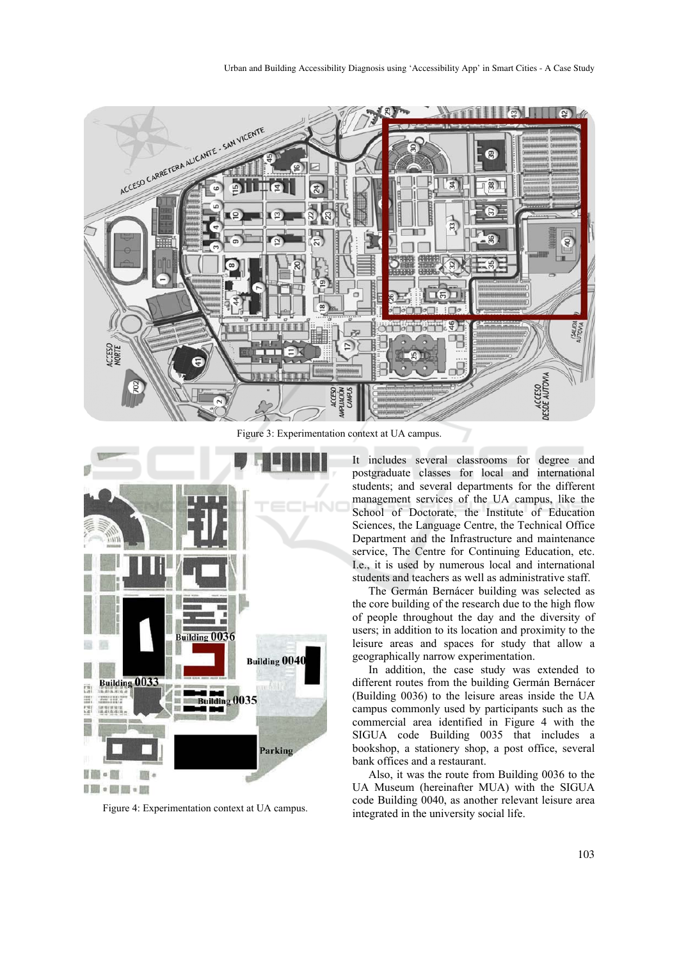

Figure 3: Experimentation context at UA campus.



Figure 4: Experimentation context at UA campus.

It includes several classrooms for degree and postgraduate classes for local and international students; and several departments for the different management services of the UA campus, like the School of Doctorate, the Institute of Education Sciences, the Language Centre, the Technical Office Department and the Infrastructure and maintenance service, The Centre for Continuing Education, etc. I.e., it is used by numerous local and international students and teachers as well as administrative staff.

The Germán Bernácer building was selected as the core building of the research due to the high flow of people throughout the day and the diversity of users; in addition to its location and proximity to the leisure areas and spaces for study that allow a geographically narrow experimentation.

In addition, the case study was extended to different routes from the building Germán Bernácer (Building 0036) to the leisure areas inside the UA campus commonly used by participants such as the commercial area identified in Figure 4 with the SIGUA code Building 0035 that includes a bookshop, a stationery shop, a post office, several bank offices and a restaurant.

Also, it was the route from Building 0036 to the UA Museum (hereinafter MUA) with the SIGUA code Building 0040, as another relevant leisure area integrated in the university social life.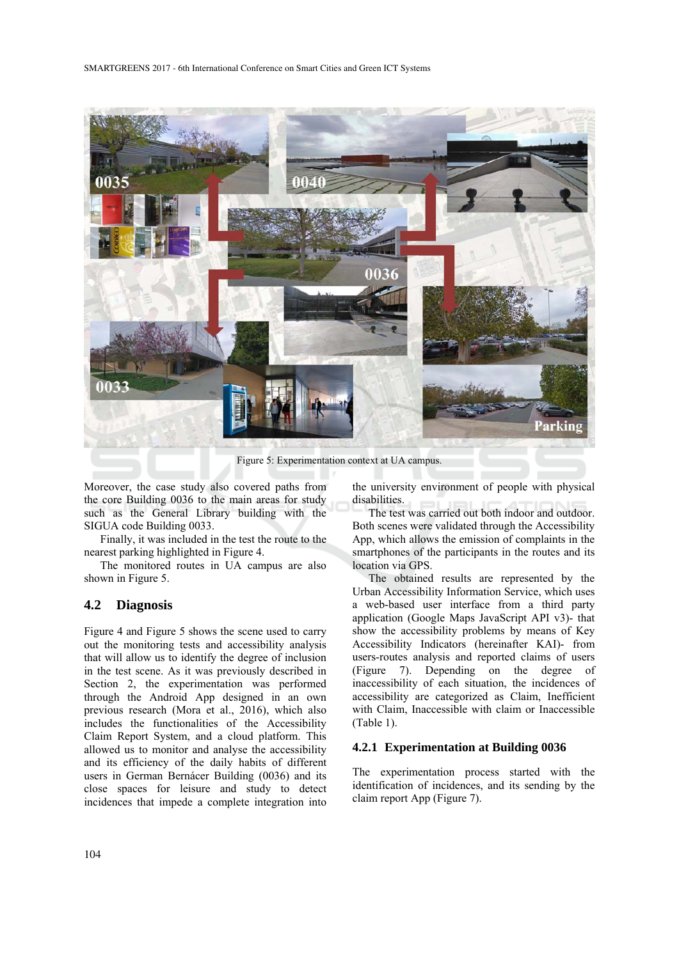

Figure 5: Experimentation context at UA campus.

Moreover, the case study also covered paths from the core Building 0036 to the main areas for study such as the General Library building with the SIGUA code Building 0033.

Finally, it was included in the test the route to the nearest parking highlighted in Figure 4.

The monitored routes in UA campus are also shown in Figure 5.

### **4.2 Diagnosis**

Figure 4 and Figure 5 shows the scene used to carry out the monitoring tests and accessibility analysis that will allow us to identify the degree of inclusion in the test scene. As it was previously described in Section 2, the experimentation was performed through the Android App designed in an own previous research (Mora et al., 2016), which also includes the functionalities of the Accessibility Claim Report System, and a cloud platform. This allowed us to monitor and analyse the accessibility and its efficiency of the daily habits of different users in German Bernácer Building (0036) and its close spaces for leisure and study to detect incidences that impede a complete integration into the university environment of people with physical disabilities.

The test was carried out both indoor and outdoor. Both scenes were validated through the Accessibility App, which allows the emission of complaints in the smartphones of the participants in the routes and its location via GPS.

The obtained results are represented by the Urban Accessibility Information Service, which uses a web-based user interface from a third party application (Google Maps JavaScript API v3)- that show the accessibility problems by means of Key Accessibility Indicators (hereinafter KAI)- from users-routes analysis and reported claims of users (Figure 7). Depending on the degree of inaccessibility of each situation, the incidences of accessibility are categorized as Claim, Inefficient with Claim, Inaccessible with claim or Inaccessible (Table 1).

#### **4.2.1 Experimentation at Building 0036**

The experimentation process started with the identification of incidences, and its sending by the claim report App (Figure 7).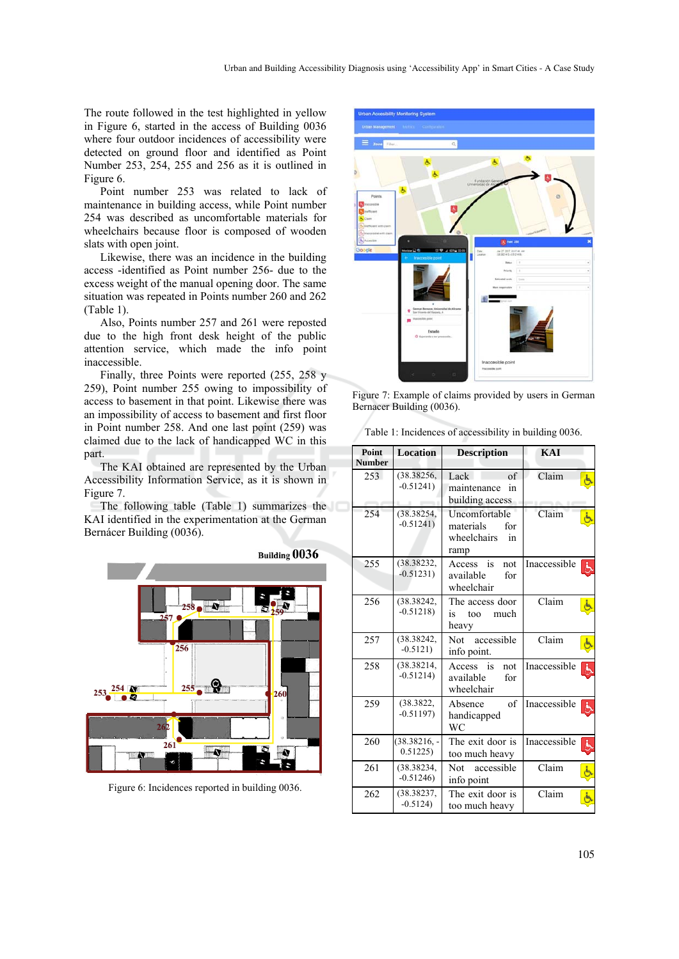The route followed in the test highlighted in yellow in Figure 6, started in the access of Building 0036 where four outdoor incidences of accessibility were detected on ground floor and identified as Point Number 253, 254, 255 and 256 as it is outlined in Figure 6.

Point number 253 was related to lack of maintenance in building access, while Point number 254 was described as uncomfortable materials for wheelchairs because floor is composed of wooden slats with open joint.

Likewise, there was an incidence in the building access -identified as Point number 256- due to the excess weight of the manual opening door. The same situation was repeated in Points number 260 and 262 (Table 1).

Also, Points number 257 and 261 were reposted due to the high front desk height of the public attention service, which made the info point inaccessible.

Finally, three Points were reported (255, 258 y 259), Point number 255 owing to impossibility of access to basement in that point. Likewise there was an impossibility of access to basement and first floor in Point number 258. And one last point (259) was claimed due to the lack of handicapped WC in this part.

The KAI obtained are represented by the Urban Accessibility Information Service, as it is shown in Figure 7.

The following table (Table 1) summarizes the KAI identified in the experimentation at the German Bernácer Building (0036).



Figure 6: Incidences reported in building 0036.



Figure 7: Example of claims provided by users in German Bernacer Building (0036).

|  | Table 1: Incidences of accessibility in building 0036. |  |  |  |
|--|--------------------------------------------------------|--|--|--|
|  |                                                        |  |  |  |

| <b>Point</b><br><b>Number</b> | <b>Location</b>           | <b>Description</b>                                             | <b>KAI</b>        |
|-------------------------------|---------------------------|----------------------------------------------------------------|-------------------|
| 253                           | (38.38256,<br>$-0.51241$  | Lack<br>of<br>maintenance<br>in<br>building access             | Claim             |
| 254                           | (38.38254,<br>$-0.51241$  | Uncomfortable<br>materials<br>for<br>wheelchairs<br>in<br>ramp | Claim<br>غ        |
| 255                           | (38.38232,<br>$-0.51231)$ | Access<br>is<br>not<br>available<br>for<br>wheelchair          | Inaccessible      |
| 256                           | (38.38242,<br>$-0.51218$  | The access door<br>is<br>much<br>too<br>heavy                  | Claim             |
| 257                           | (38.38242,<br>$-0.5121$   | Not<br>accessible<br>info point.                               | Claim             |
| 258                           | (38.38214,<br>$-0.51214$  | Access<br>is<br>not<br>available<br>for<br>wheelchair          | Inaccessible<br>Ġ |
| 259                           | (38.3822,<br>$-0.51197$   | of<br>Absence<br>handicapped<br><b>WC</b>                      | Inaccessible      |
| 260                           | $(38.38216, -$<br>0.51225 | The exit door is<br>too much heavy                             | Inaccessible<br>Ġ |
| 261                           | (38.38234,<br>$-0.51246$  | Not<br>accessible<br>info point                                | Claim             |
| 262                           | (38.38237,<br>$-0.5124$   | The exit door is<br>too much heavy                             | Claim             |
|                               |                           |                                                                |                   |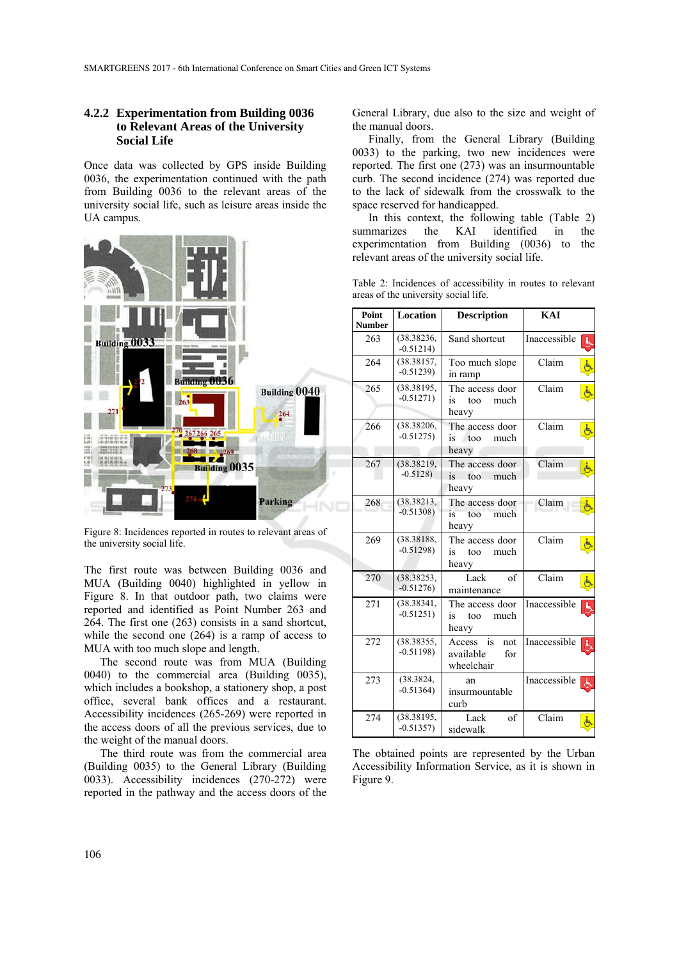#### **4.2.2 Experimentation from Building 0036 to Relevant Areas of the University Social Life**

Once data was collected by GPS inside Building 0036, the experimentation continued with the path from Building 0036 to the relevant areas of the university social life, such as leisure areas inside the UA campus.



Figure 8: Incidences reported in routes to relevant areas of the university social life.

The first route was between Building 0036 and MUA (Building 0040) highlighted in yellow in Figure 8. In that outdoor path, two claims were reported and identified as Point Number 263 and 264. The first one (263) consists in a sand shortcut, while the second one (264) is a ramp of access to MUA with too much slope and length.

The second route was from MUA (Building 0040) to the commercial area (Building 0035), which includes a bookshop, a stationery shop, a post office, several bank offices and a restaurant. Accessibility incidences (265-269) were reported in the access doors of all the previous services, due to the weight of the manual doors.

The third route was from the commercial area (Building 0035) to the General Library (Building 0033). Accessibility incidences (270-272) were reported in the pathway and the access doors of the

General Library, due also to the size and weight of the manual doors.

Finally, from the General Library (Building 0033) to the parking, two new incidences were reported. The first one (273) was an insurmountable curb. The second incidence (274) was reported due to the lack of sidewalk from the crosswalk to the space reserved for handicapped.

In this context, the following table (Table 2) summarizes the KAI identified in the experimentation from Building (0036) to the relevant areas of the university social life.

|  |                                      | Table 2: Incidences of accessibility in routes to relevant |  |  |
|--|--------------------------------------|------------------------------------------------------------|--|--|
|  | areas of the university social life. |                                                            |  |  |

| Point<br><b>Number</b> | Location                  | <b>Description</b>                                    | KAI               |
|------------------------|---------------------------|-------------------------------------------------------|-------------------|
| 263                    | (38.38236,<br>$-0.51214)$ | Sand shortcut                                         | Inaccessible<br>占 |
| 264                    | (38.38157,<br>$-0.51239$  | Too much slope<br>in ramp                             | Claim<br>Ġ        |
| 265                    | (38.38195,<br>$-0.51271$  | The access door<br>is<br>much<br>too<br>heavy         | Claim             |
| 266                    | (38.38206,<br>$-0.51275$  | The access door<br>is too<br>much<br>heavy            | Claim             |
| 267                    | (38.38219,<br>$-0.5128$   | The access door<br>is<br>100<br>much<br>heavy         | Claim             |
| 268                    | (38.38213,<br>$-0.51308$  | The access door<br>much<br>is<br>too<br>heavy         | Claim             |
| 269                    | (38.38188,<br>$-0.51298$  | The access door<br>is<br>much<br>too<br>heavy         | Claim             |
| 270                    | (38.38253,<br>$-0.51276$  | of<br>Lack<br>maintenance                             | Claim<br>Ġ        |
| 271                    | (38.38341,<br>$-0.51251$  | The access door<br>much<br>is<br>too<br>heavy         | Inaccessible<br>్ |
| 272                    | (38.38355,<br>$-0.51198$  | Access<br>is<br>not<br>available<br>for<br>wheelchair | Inaccessible<br>Ġ |
| 273                    | (38.3824,<br>$-0.51364$   | an<br>insurmountable<br>curb                          | Inaccessible<br>க |
| 274                    | (38.38195,<br>$-0.51357$  | Lack<br>of<br>sidewalk                                | Claim             |

The obtained points are represented by the Urban Accessibility Information Service, as it is shown in Figure 9.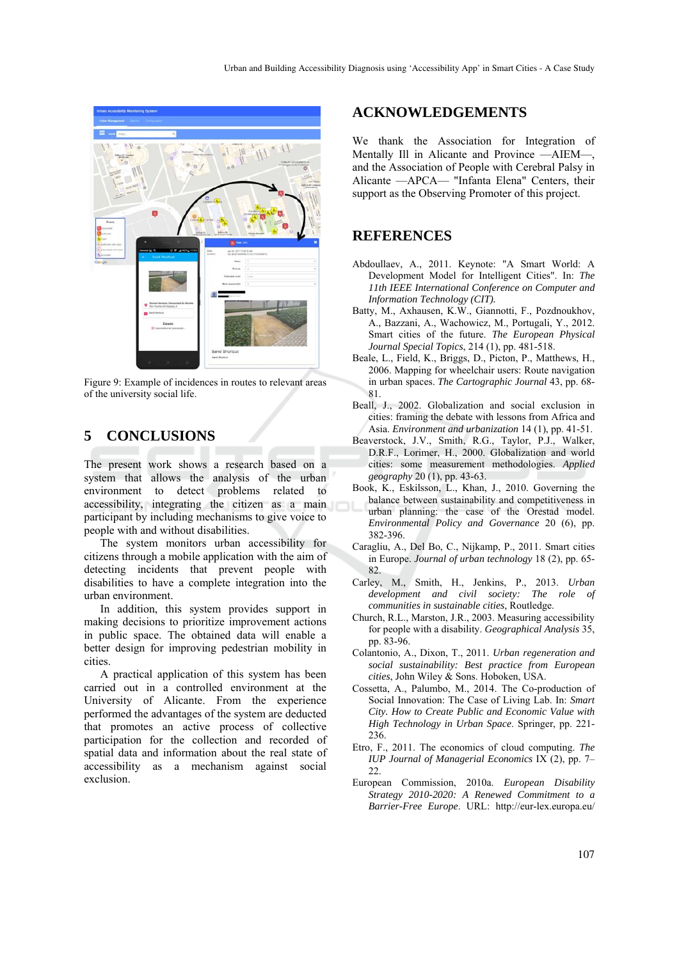

Figure 9: Example of incidences in routes to relevant areas of the university social life.

## **5 CONCLUSIONS**

The present work shows a research based on a system that allows the analysis of the urban environment to detect problems related to accessibility, integrating the citizen as a main participant by including mechanisms to give voice to people with and without disabilities.

The system monitors urban accessibility for citizens through a mobile application with the aim of detecting incidents that prevent people with disabilities to have a complete integration into the urban environment.

In addition, this system provides support in making decisions to prioritize improvement actions in public space. The obtained data will enable a better design for improving pedestrian mobility in cities.

A practical application of this system has been carried out in a controlled environment at the University of Alicante. From the experience performed the advantages of the system are deducted that promotes an active process of collective participation for the collection and recorded of spatial data and information about the real state of accessibility as a mechanism against social exclusion.

### **ACKNOWLEDGEMENTS**

We thank the Association for Integration of Mentally Ill in Alicante and Province —AIEM—, and the Association of People with Cerebral Palsy in Alicante —APCA— "Infanta Elena" Centers, their support as the Observing Promoter of this project.

## **REFERENCES**

- Abdoullaev, A., 2011. Keynote: "A Smart World: A Development Model for Intelligent Cities". In: *The 11th IEEE International Conference on Computer and Information Technology (CIT).*
- Batty, M., Axhausen, K.W., Giannotti, F., Pozdnoukhov, A., Bazzani, A., Wachowicz, M., Portugali, Y., 2012. Smart cities of the future. *The European Physical Journal Special Topics*, 214 (1), pp. 481-518.
- Beale, L., Field, K., Briggs, D., Picton, P., Matthews, H., 2006. Mapping for wheelchair users: Route navigation in urban spaces. *The Cartographic Journal* 43, pp. 68- 81.
- Beall, J., 2002. Globalization and social exclusion in cities: framing the debate with lessons from Africa and Asia. *Environment and urbanization* 14 (1), pp. 41-51.
- Beaverstock, J.V., Smith, R.G., Taylor, P.J., Walker, D.R.F., Lorimer, H., 2000. Globalization and world cities: some measurement methodologies. *Applied geography* 20 (1), pp. 43-63.
- Book, K., Eskilsson, L., Khan, J., 2010. Governing the balance between sustainability and competitiveness in urban planning: the case of the Orestad model. *Environmental Policy and Governance* 20 (6), pp. 382-396.
- Caragliu, A., Del Bo, C., Nijkamp, P., 2011. Smart cities in Europe. *Journal of urban technology* 18 (2), pp. 65- 82.
- Carley, M., Smith, H., Jenkins, P., 2013. *Urban development and civil society: The role of communities in sustainable cities*, Routledge.
- Church, R.L., Marston, J.R., 2003. Measuring accessibility for people with a disability. *Geographical Analysis* 35, pp. 83-96.
- Colantonio, A., Dixon, T., 2011. *Urban regeneration and social sustainability: Best practice from European cities*, John Wiley & Sons. Hoboken, USA.
- Cossetta, A., Palumbo, M., 2014. The Co-production of Social Innovation: The Case of Living Lab. In: *Smart City. How to Create Public and Economic Value with High Technology in Urban Space*. Springer, pp. 221- 236.
- Etro, F., 2011. The economics of cloud computing. *The IUP Journal of Managerial Economics* IX (2), pp. 7– 22.
- European Commission, 2010a. *European Disability Strategy 2010-2020: A Renewed Commitment to a Barrier-Free Europe*. URL: http://eur-lex.europa.eu/